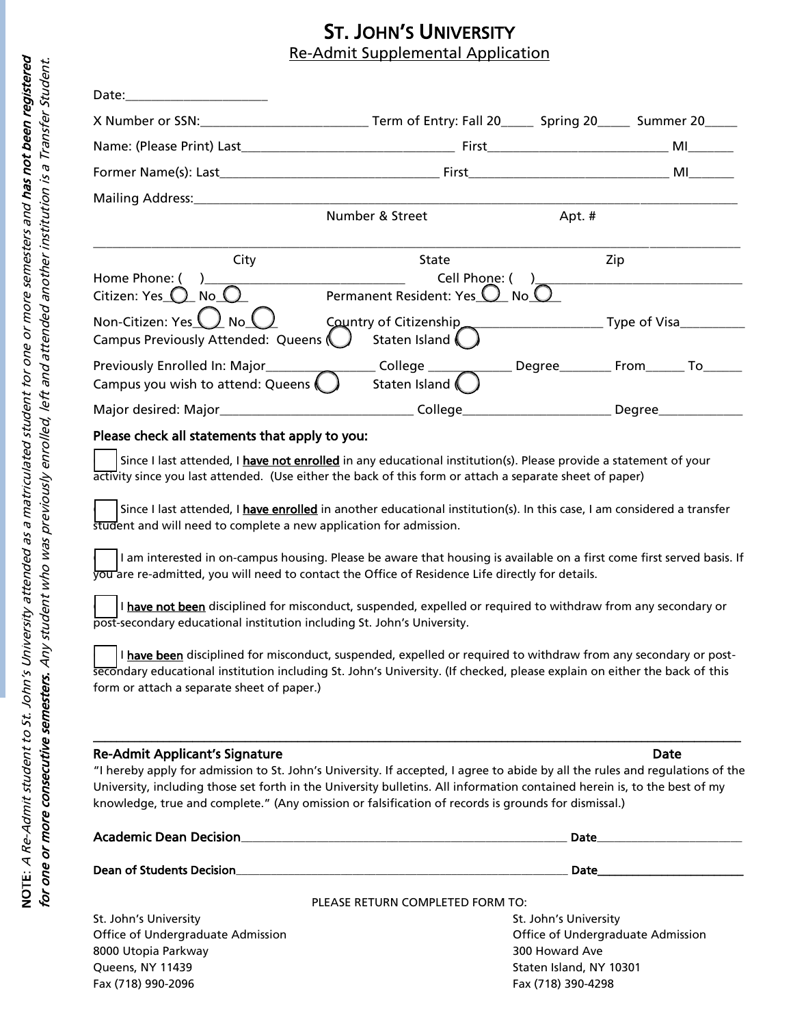## **ST. JOHN'S UNIVERSITY**<br>Re-Admit Supplemental Application

| Date:_________________________                                     |                                               |        |                  |
|--------------------------------------------------------------------|-----------------------------------------------|--------|------------------|
|                                                                    |                                               |        |                  |
|                                                                    |                                               |        | <b>MI MI</b>     |
|                                                                    |                                               |        | <b>MI</b> Andrea |
|                                                                    |                                               |        |                  |
|                                                                    | Number & Street                               | Apt. # |                  |
| City                                                               | State                                         | Zip    |                  |
| Home Phone: ( )<br>Citizen: Yes $\bigcirc$ No $\bigcirc$           | Cell Phone: (<br>Permanent Resident: Yes U No |        |                  |
| Non-Citizen: Yes<br>No (<br>Campus Previously Attended: Queens (   | Staten Island                                 |        |                  |
| Previously Enrolled In: Major<br>Campus you wish to attend: Queens | Staten Island (                               |        |                  |
|                                                                    |                                               |        | Degree           |

## Please check all statements that apply to you:

Since I last attended, I have not enrolled in any educational institution(s). Please provide a statement of your activity since you last attended. (Use either the back of this form or attach a separate sheet of paper)

Since I last attended, I have enrolled in another educational institution(s). In this case, I am considered a transfer student and will need to complete a new application for admission.

I am interested in on-campus housing. Please be aware that housing is available on a first come first served basis. If you are re-admitted, you will need to contact the Office of Residence Life directly for details.

I have not been disciplined for misconduct, suspended, expelled or required to withdraw from any secondary or post-secondary educational institution including St. John's University.

I have been disciplined for misconduct, suspended, expelled or required to withdraw from any secondary or postsecondary educational institution including St. John's University. (If checked, please explain on either the back of this form or attach a separate sheet of paper.)

## Re-Admit Applicant's Signature **Date of Access 2018** 2019 12:30 No. 2018

"I hereby apply for admission to St. John's University. If accepted, I agree to abide by all the rules and regulations of the University, including those set forth in the University bulletins. All information contained herein is, to the best of my knowledge, true and complete." (Any omission or falsification of records is grounds for dismissal.)

\_\_\_\_\_\_\_\_\_\_\_\_\_\_\_\_\_\_\_\_\_\_\_\_\_\_\_\_\_\_\_\_\_\_\_\_\_\_\_\_\_\_\_\_\_\_\_\_\_\_\_\_\_\_\_\_\_\_\_\_\_\_\_\_\_\_\_\_\_\_\_\_\_\_\_\_\_\_\_\_\_\_\_\_\_\_\_\_\_\_\_\_\_\_\_\_\_\_\_\_\_\_\_\_\_\_\_\_\_\_\_

| <b>Academic Dean Decision</b>     | Date                                                                                                                                                                                                                           |  |
|-----------------------------------|--------------------------------------------------------------------------------------------------------------------------------------------------------------------------------------------------------------------------------|--|
| Dean of Students Decision         | Date and the contract of the contract of the contract of the contract of the contract of the contract of the contract of the contract of the contract of the contract of the contract of the contract of the contract of the c |  |
|                                   | PLEASE RETURN COMPLETED FORM TO:                                                                                                                                                                                               |  |
| St. John's University             | St. John's University                                                                                                                                                                                                          |  |
| Office of Undergraduate Admission | Office of Undergraduate Admission                                                                                                                                                                                              |  |
| 8000 Utopia Parkway               | 300 Howard Ave                                                                                                                                                                                                                 |  |
| Queens, NY 11439                  | Staten Island, NY 10301                                                                                                                                                                                                        |  |
| Fax (718) 990-2096                | Fax (718) 390-4298                                                                                                                                                                                                             |  |